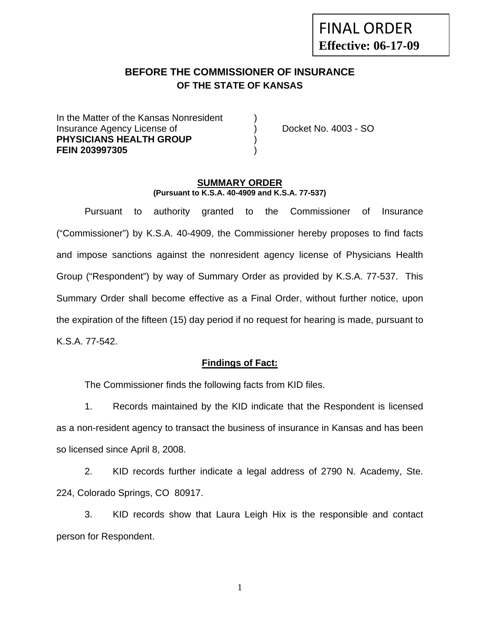# **BEFORE THE COMMISSIONER OF INSURANCE OF THE STATE OF KANSAS**

In the Matter of the Kansas Nonresident Insurance Agency License of (a) Docket No. 4003 - SO **PHYSICIANS HEALTH GROUP** ) **FEIN 203997305** )

#### **SUMMARY ORDER (Pursuant to K.S.A. 40-4909 and K.S.A. 77-537)**

 Pursuant to authority granted to the Commissioner of Insurance ("Commissioner") by K.S.A. 40-4909, the Commissioner hereby proposes to find facts and impose sanctions against the nonresident agency license of Physicians Health Group ("Respondent") by way of Summary Order as provided by K.S.A. 77-537. This Summary Order shall become effective as a Final Order, without further notice, upon the expiration of the fifteen (15) day period if no request for hearing is made, pursuant to K.S.A. 77-542.

### **Findings of Fact:**

The Commissioner finds the following facts from KID files.

 1. Records maintained by the KID indicate that the Respondent is licensed as a non-resident agency to transact the business of insurance in Kansas and has been so licensed since April 8, 2008.

 2. KID records further indicate a legal address of 2790 N. Academy, Ste. 224, Colorado Springs, CO 80917.

 3. KID records show that Laura Leigh Hix is the responsible and contact person for Respondent.

1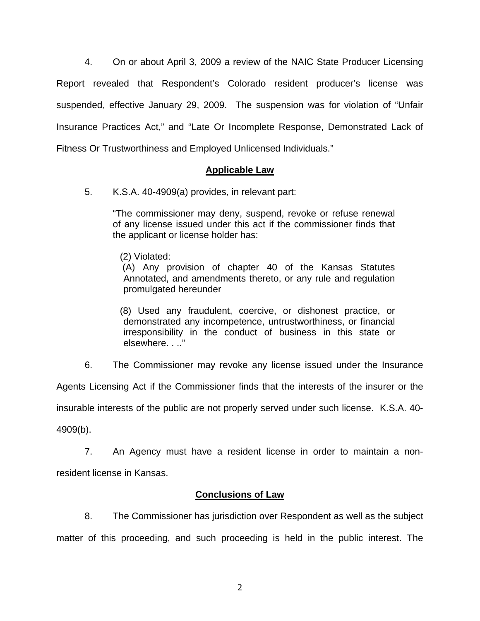4. On or about April 3, 2009 a review of the NAIC State Producer Licensing Report revealed that Respondent's Colorado resident producer's license was suspended, effective January 29, 2009. The suspension was for violation of "Unfair Insurance Practices Act," and "Late Or Incomplete Response, Demonstrated Lack of Fitness Or Trustworthiness and Employed Unlicensed Individuals."

# **Applicable Law**

5. K.S.A. 40-4909(a) provides, in relevant part:

"The commissioner may deny, suspend, revoke or refuse renewal of any license issued under this act if the commissioner finds that the applicant or license holder has:

(2) Violated:

 (A) Any provision of chapter 40 of the Kansas Statutes Annotated, and amendments thereto, or any rule and regulation promulgated hereunder

 (8) Used any fraudulent, coercive, or dishonest practice, or demonstrated any incompetence, untrustworthiness, or financial irresponsibility in the conduct of business in this state or elsewhere. . .."

6. The Commissioner may revoke any license issued under the Insurance

Agents Licensing Act if the Commissioner finds that the interests of the insurer or the

insurable interests of the public are not properly served under such license. K.S.A. 40-

4909(b).

 7. An Agency must have a resident license in order to maintain a nonresident license in Kansas.

### **Conclusions of Law**

 8. The Commissioner has jurisdiction over Respondent as well as the subject matter of this proceeding, and such proceeding is held in the public interest. The

2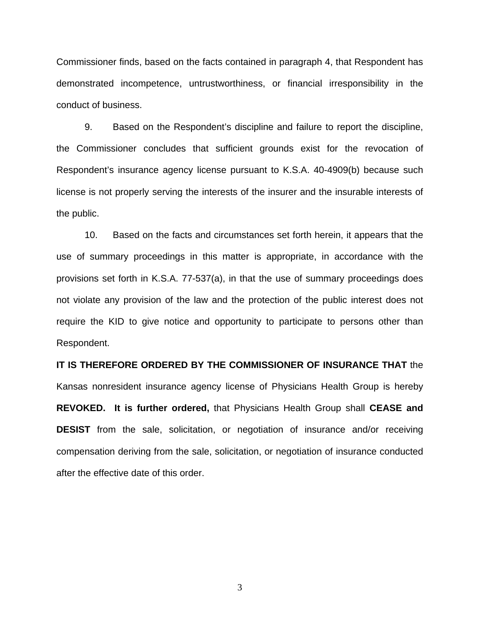Commissioner finds, based on the facts contained in paragraph 4, that Respondent has demonstrated incompetence, untrustworthiness, or financial irresponsibility in the conduct of business.

 9. Based on the Respondent's discipline and failure to report the discipline, the Commissioner concludes that sufficient grounds exist for the revocation of Respondent's insurance agency license pursuant to K.S.A. 40-4909(b) because such license is not properly serving the interests of the insurer and the insurable interests of the public.

 10. Based on the facts and circumstances set forth herein, it appears that the use of summary proceedings in this matter is appropriate, in accordance with the provisions set forth in K.S.A. 77-537(a), in that the use of summary proceedings does not violate any provision of the law and the protection of the public interest does not require the KID to give notice and opportunity to participate to persons other than Respondent.

**IT IS THEREFORE ORDERED BY THE COMMISSIONER OF INSURANCE THAT** the Kansas nonresident insurance agency license of Physicians Health Group is hereby **REVOKED. It is further ordered,** that Physicians Health Group shall **CEASE and DESIST** from the sale, solicitation, or negotiation of insurance and/or receiving compensation deriving from the sale, solicitation, or negotiation of insurance conducted after the effective date of this order.

3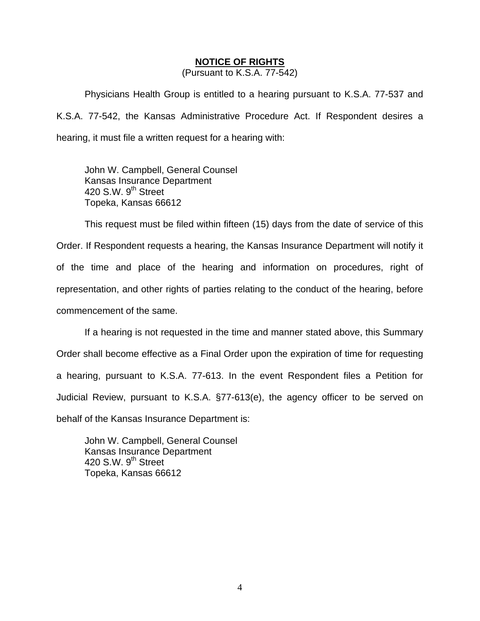## **NOTICE OF RIGHTS**

(Pursuant to K.S.A. 77-542)

Physicians Health Group is entitled to a hearing pursuant to K.S.A. 77-537 and K.S.A. 77-542, the Kansas Administrative Procedure Act. If Respondent desires a hearing, it must file a written request for a hearing with:

 John W. Campbell, General Counsel Kansas Insurance Department 420 S.W. 9<sup>th</sup> Street Topeka, Kansas 66612

This request must be filed within fifteen (15) days from the date of service of this Order. If Respondent requests a hearing, the Kansas Insurance Department will notify it of the time and place of the hearing and information on procedures, right of representation, and other rights of parties relating to the conduct of the hearing, before commencement of the same.

If a hearing is not requested in the time and manner stated above, this Summary Order shall become effective as a Final Order upon the expiration of time for requesting a hearing, pursuant to K.S.A. 77-613. In the event Respondent files a Petition for Judicial Review, pursuant to K.S.A. §77-613(e), the agency officer to be served on behalf of the Kansas Insurance Department is:

 John W. Campbell, General Counsel Kansas Insurance Department 420 S.W.  $9<sup>th</sup>$  Street Topeka, Kansas 66612